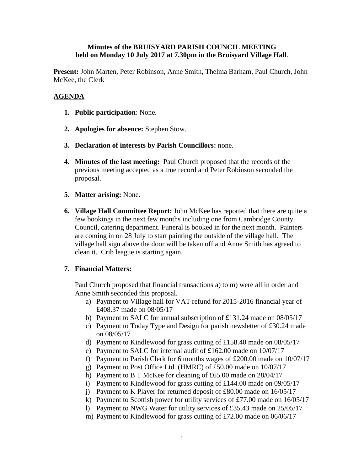## **Minutes of the BRUISYARD PARISH COUNCIL MEETING held on Monday 10 July 2017 at 7.30pm in the Bruisyard Village Hall**.

**Present:** John Marten, Peter Robinson, Anne Smith, Thelma Barham, Paul Church, John McKee, the Clerk

## **AGENDA**

- **1. Public participation**: None.
- **2. Apologies for absence:** Stephen Stow.
- **3. Declaration of interests by Parish Councillors:** none.
- **4. Minutes of the last meeting:** Paul Church proposed that the records of the previous meeting accepted as a true record and Peter Robinson seconded the proposal.
- **5. Matter arising:** None.
- **6. Village Hall Committee Report:** John McKee has reported that there are quite a few bookings in the next few months including one from Cambridge County Council, catering department. Funeral is booked in for the next month. Painters are coming in on 28 July to start painting the outside of the village hall. The village hall sign above the door will be taken off and Anne Smith has agreed to clean it. Crib league is starting again.

## **7. Financial Matters:**

Paul Church proposed that financial transactions a) to m) were all in order and Anne Smith seconded this proposal.

- a) Payment to Village hall for VAT refund for 2015-2016 financial year of £408.37 made on 08/05/17
- b) Payment to SALC for annual subscription of £131.24 made on 08/05/17
- c) Payment to Today Type and Design for parish newsletter of £30.24 made on 08/05/17
- d) Payment to Kindlewood for grass cutting of £158.40 made on 08/05/17
- e) Payment to SALC for internal audit of £162.00 made on 10/07/17
- f) Payment to Parish Clerk for 6 months wages of £200.00 made on 10/07/17
- g) Payment to Post Office Ltd. (HMRC) of £50.00 made on 10/07/17
- h) Payment to B T McKee for cleaning of £65.00 made on 28/04/17
- i) Payment to Kindlewood for grass cutting of £144.00 made on 09/05/17
- j) Payment to K Player for returned deposit of £80.00 made on 16/05/17
- k) Payment to Scottish power for utility services of £77.00 made on 16/05/17
- l) Payment to NWG Water for utility services of £35.43 made on 25/05/17
- m) Payment to Kindlewood for grass cutting of £72.00 made on 06/06/17